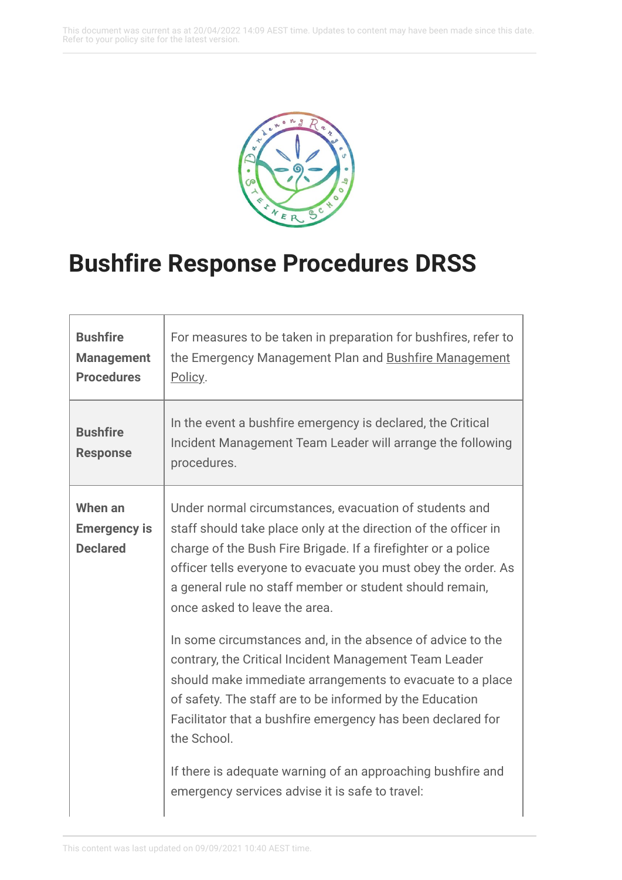This document was current as at 20/04/2022 14:09 AEST time. Updates to content may have been made since this date. Refer to your policy site for the latest version.



## **Bushfire Response Procedures DRSS**

| <b>Bushfire</b><br><b>Management</b><br><b>Procedures</b> | For measures to be taken in preparation for bushfires, refer to<br>the Emergency Management Plan and Bushfire Management<br>Policy.                                                                                                                                                                                                                                                                                                                                                                                                                                                                                                                                                                                                                                                                        |
|-----------------------------------------------------------|------------------------------------------------------------------------------------------------------------------------------------------------------------------------------------------------------------------------------------------------------------------------------------------------------------------------------------------------------------------------------------------------------------------------------------------------------------------------------------------------------------------------------------------------------------------------------------------------------------------------------------------------------------------------------------------------------------------------------------------------------------------------------------------------------------|
| <b>Bushfire</b><br><b>Response</b>                        | In the event a bushfire emergency is declared, the Critical<br>Incident Management Team Leader will arrange the following<br>procedures.                                                                                                                                                                                                                                                                                                                                                                                                                                                                                                                                                                                                                                                                   |
| When an<br><b>Emergency is</b><br><b>Declared</b>         | Under normal circumstances, evacuation of students and<br>staff should take place only at the direction of the officer in<br>charge of the Bush Fire Brigade. If a firefighter or a police<br>officer tells everyone to evacuate you must obey the order. As<br>a general rule no staff member or student should remain,<br>once asked to leave the area.<br>In some circumstances and, in the absence of advice to the<br>contrary, the Critical Incident Management Team Leader<br>should make immediate arrangements to evacuate to a place<br>of safety. The staff are to be informed by the Education<br>Facilitator that a bushfire emergency has been declared for<br>the School.<br>If there is adequate warning of an approaching bushfire and<br>emergency services advise it is safe to travel: |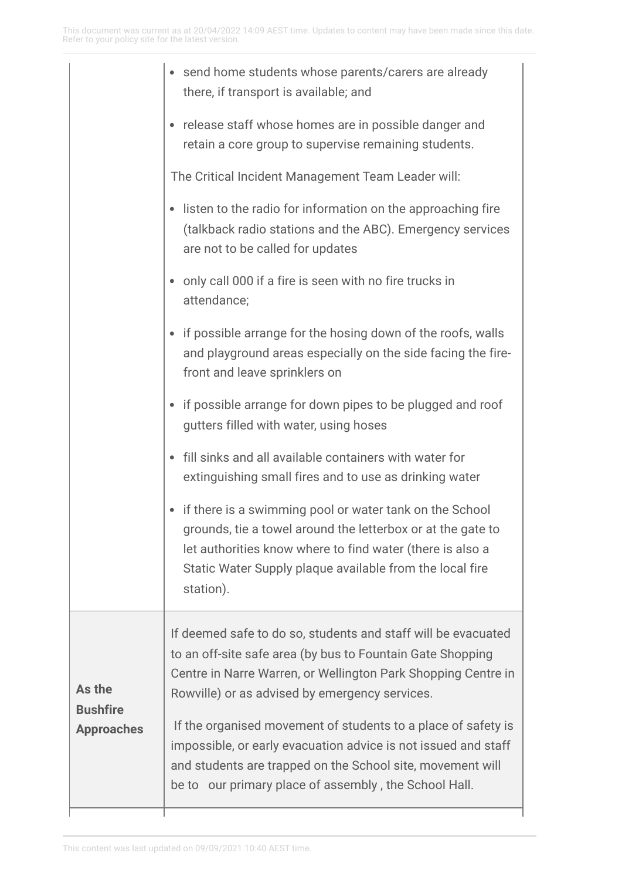|                                                | send home students whose parents/carers are already<br>there, if transport is available; and                                                                                                                                                                 |
|------------------------------------------------|--------------------------------------------------------------------------------------------------------------------------------------------------------------------------------------------------------------------------------------------------------------|
|                                                | release staff whose homes are in possible danger and<br>retain a core group to supervise remaining students.                                                                                                                                                 |
|                                                | The Critical Incident Management Team Leader will:                                                                                                                                                                                                           |
|                                                | listen to the radio for information on the approaching fire<br>(talkback radio stations and the ABC). Emergency services<br>are not to be called for updates                                                                                                 |
|                                                | only call 000 if a fire is seen with no fire trucks in<br>attendance;                                                                                                                                                                                        |
|                                                | if possible arrange for the hosing down of the roofs, walls<br>and playground areas especially on the side facing the fire-<br>front and leave sprinklers on                                                                                                 |
|                                                | if possible arrange for down pipes to be plugged and roof<br>gutters filled with water, using hoses                                                                                                                                                          |
|                                                | fill sinks and all available containers with water for<br>extinguishing small fires and to use as drinking water                                                                                                                                             |
|                                                | if there is a swimming pool or water tank on the School<br>grounds, tie a towel around the letterbox or at the gate to<br>let authorities know where to find water (there is also a<br>Static Water Supply plaque available from the local fire<br>station). |
| As the<br><b>Bushfire</b><br><b>Approaches</b> | If deemed safe to do so, students and staff will be evacuated<br>to an off-site safe area (by bus to Fountain Gate Shopping<br>Centre in Narre Warren, or Wellington Park Shopping Centre in<br>Rowville) or as advised by emergency services.               |
|                                                | If the organised movement of students to a place of safety is<br>impossible, or early evacuation advice is not issued and staff<br>and students are trapped on the School site, movement will<br>be to our primary place of assembly, the School Hall.       |
|                                                |                                                                                                                                                                                                                                                              |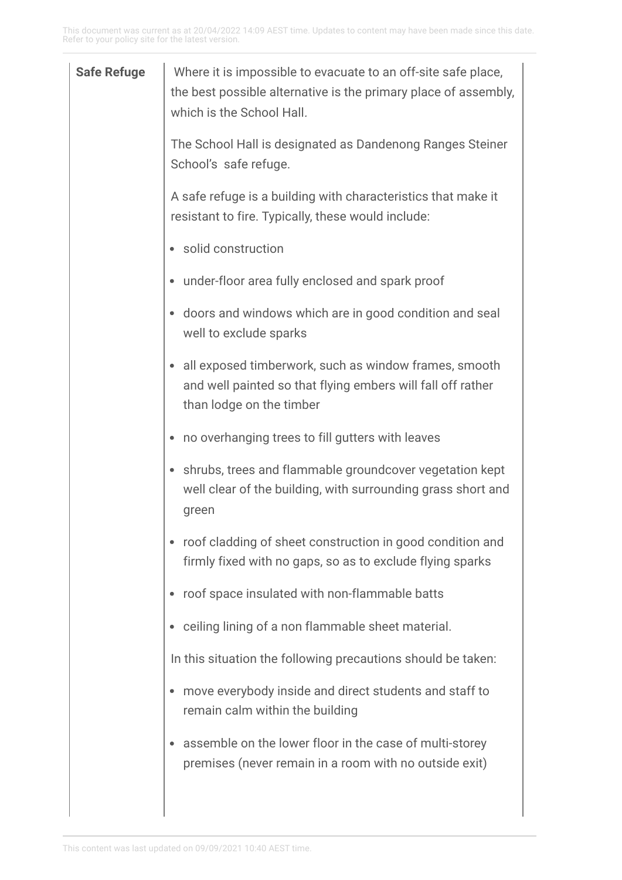| <b>Safe Refuge</b> | Where it is impossible to evacuate to an off-site safe place,<br>the best possible alternative is the primary place of assembly,<br>which is the School Hall. |
|--------------------|---------------------------------------------------------------------------------------------------------------------------------------------------------------|
|                    | The School Hall is designated as Dandenong Ranges Steiner<br>School's safe refuge.                                                                            |
|                    | A safe refuge is a building with characteristics that make it<br>resistant to fire. Typically, these would include:                                           |
|                    | solid construction                                                                                                                                            |
|                    | under-floor area fully enclosed and spark proof                                                                                                               |
|                    | doors and windows which are in good condition and seal<br>well to exclude sparks                                                                              |
|                    | all exposed timberwork, such as window frames, smooth<br>and well painted so that flying embers will fall off rather<br>than lodge on the timber              |
|                    | no overhanging trees to fill gutters with leaves                                                                                                              |
|                    | shrubs, trees and flammable groundcover vegetation kept<br>well clear of the building, with surrounding grass short and<br>green                              |
|                    | roof cladding of sheet construction in good condition and<br>firmly fixed with no gaps, so as to exclude flying sparks                                        |
|                    | roof space insulated with non-flammable batts                                                                                                                 |
|                    | ceiling lining of a non flammable sheet material.                                                                                                             |
|                    | In this situation the following precautions should be taken:                                                                                                  |
|                    | move everybody inside and direct students and staff to<br>remain calm within the building                                                                     |
|                    | assemble on the lower floor in the case of multi-storey<br>premises (never remain in a room with no outside exit)                                             |
|                    |                                                                                                                                                               |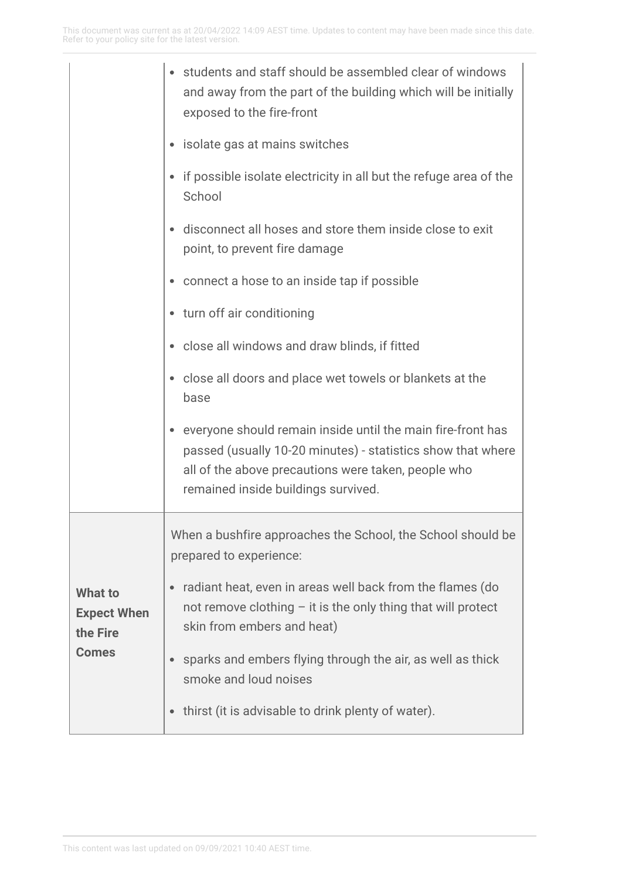|                                                                  | students and staff should be assembled clear of windows<br>and away from the part of the building which will be initially<br>exposed to the fire-front                                                                   |
|------------------------------------------------------------------|--------------------------------------------------------------------------------------------------------------------------------------------------------------------------------------------------------------------------|
|                                                                  | isolate gas at mains switches                                                                                                                                                                                            |
|                                                                  | if possible isolate electricity in all but the refuge area of the<br>School                                                                                                                                              |
|                                                                  | disconnect all hoses and store them inside close to exit<br>point, to prevent fire damage                                                                                                                                |
|                                                                  | connect a hose to an inside tap if possible                                                                                                                                                                              |
|                                                                  | • turn off air conditioning                                                                                                                                                                                              |
|                                                                  | close all windows and draw blinds, if fitted                                                                                                                                                                             |
|                                                                  | close all doors and place wet towels or blankets at the<br>base                                                                                                                                                          |
|                                                                  | everyone should remain inside until the main fire-front has<br>passed (usually 10-20 minutes) - statistics show that where<br>all of the above precautions were taken, people who<br>remained inside buildings survived. |
| <b>What to</b><br><b>Expect When</b><br>the Fire<br><b>Comes</b> | When a bushfire approaches the School, the School should be<br>prepared to experience:                                                                                                                                   |
|                                                                  | radiant heat, even in areas well back from the flames (do<br>not remove clothing $-$ it is the only thing that will protect<br>skin from embers and heat)                                                                |
|                                                                  | sparks and embers flying through the air, as well as thick<br>smoke and loud noises                                                                                                                                      |
|                                                                  | thirst (it is advisable to drink plenty of water).                                                                                                                                                                       |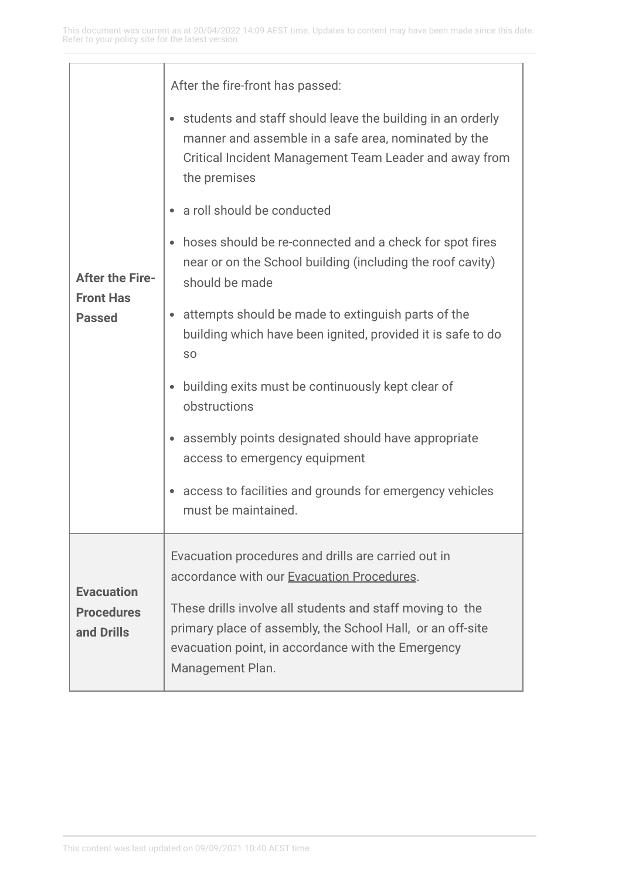| <b>After the Fire-</b><br><b>Front Has</b><br><b>Passed</b> | After the fire-front has passed:                                                                                                                                                                  |
|-------------------------------------------------------------|---------------------------------------------------------------------------------------------------------------------------------------------------------------------------------------------------|
|                                                             | students and staff should leave the building in an orderly<br>manner and assemble in a safe area, nominated by the<br>Critical Incident Management Team Leader and away from<br>the premises      |
|                                                             | a roll should be conducted                                                                                                                                                                        |
|                                                             | hoses should be re-connected and a check for spot fires<br>near or on the School building (including the roof cavity)<br>should be made                                                           |
|                                                             | attempts should be made to extinguish parts of the<br>building which have been ignited, provided it is safe to do<br>S <sub>O</sub>                                                               |
|                                                             | building exits must be continuously kept clear of<br>obstructions                                                                                                                                 |
|                                                             | assembly points designated should have appropriate<br>access to emergency equipment                                                                                                               |
|                                                             | access to facilities and grounds for emergency vehicles<br>must be maintained.                                                                                                                    |
| <b>Evacuation</b><br><b>Procedures</b><br>and Drills        | Evacuation procedures and drills are carried out in<br>accordance with our Evacuation Procedures.                                                                                                 |
|                                                             | These drills involve all students and staff moving to the<br>primary place of assembly, the School Hall, or an off-site<br>evacuation point, in accordance with the Emergency<br>Management Plan. |